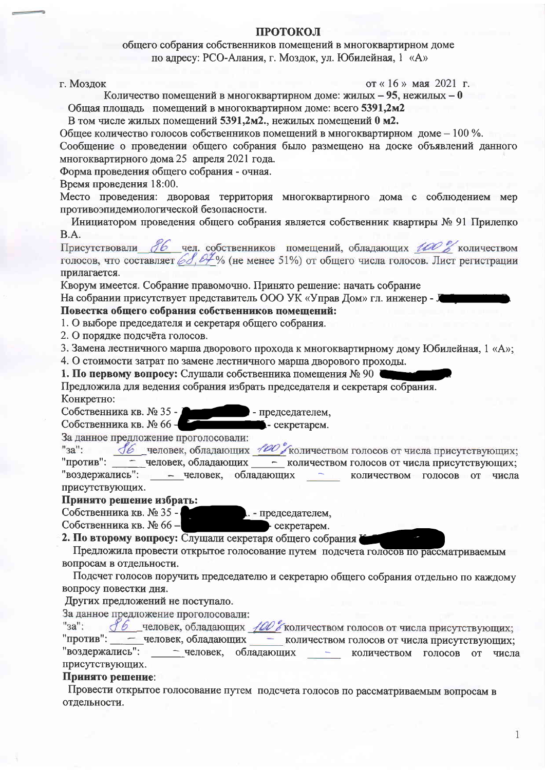## ПРОТОКОЛ

общего собрания собственников помещений в многоквартирном доме по адресу: РСО-Алания, г. Моздок, ул. Юбилейная, 1 «А»

г. Моздок

от «16» мая 2021 г.

Количество помещений в многоквартирном доме: жилых - 95, нежилых - 0

Общая площадь помещений в многоквартирном доме: всего 5391,2м2

В том числе жилых помещений 5391,2м2., нежилых помещений 0 м2.

Общее количество голосов собственников помещений в многоквартирном доме – 100 %.

Сообщение о проведении общего собрания было размещено на доске объявлений данного многоквартирного дома 25 апреля 2021 года.

Форма проведения общего собрания - очная.

Время проведения 18:00.

Место проведения: дворовая территория многоквартирного дома с соблюдением мер противоэпидемиологической безопасности.

Инициатором проведения общего собрания является собственник квартиры № 91 Прилепко B.A.

Присутствовали 86 чел. собственников помещений, обладающих 100 % количеством голосов, что составляет 68.04% (не менее 51%) от общего числа голосов. Лист регистрации прилагается.

Кворум имеется. Собрание правомочно. Принято решение: начать собрание

На собрании присутствует представитель ООО УК «Управ Дом» гл. инженер - J

# Повестка общего собрания собственников помешений:

1. О выборе председателя и секретаря общего собрания.

2. О порядке подсчёта голосов.

3. Замена лестничного марша дворового прохода к многоквартирному дому Юбилейная, 1 «А»;

4. О стоимости затрат по замене лестничного марша дворового проходы.

1. По первому вопросу: Слушали собственника помещения № 90

Предложила для ведения собрания избрать председателя и секретаря собрания. Конкретно:

Собственника кв. № 35 -- председателем,

секретарем. Собственника кв. № 66-

За данное предложение проголосовали:

16 человек, обладающих 100 / количеством голосов от числа присутствующих;  $"3a"$ : "против": - человек, обладающих - количеством голосов от числа присутствующих; - человек, обладающих "воздержались":  $\sim$   $\sim$   $\sim$ количеством голосов от числа присутствующих.

## Принято решение избрать:

. - председателем, Собственника кв. № 35 -

Собственника кв. № 66-

2. По второму вопросу: Слушали секретаря общего собрания I

Предложила провести открытое голосование путем подсчета голосов по рассматриваемым вопросам в отдельности.

Подсчет голосов поручить председателю и секретарю общего собрания отдельно по каждому вопросу повестки лня.

Других предложений не поступало.

За данное предложение проголосовали:

| $"3a"$ : |  | <u>16</u> человек, обладающих 100 г количеством голосов от числа присутствующих; |  |
|----------|--|----------------------------------------------------------------------------------|--|
|----------|--|----------------------------------------------------------------------------------|--|

"против": - человек, обладающих - количеством голосов от числа присутствующих; "воздержались": - человек, обладающих - количеством голосов **OT** числа присутствующих.

## Принято решение:

Провести открытое голосование путем подсчета голосов по рассматриваемым вопросам в отдельности.